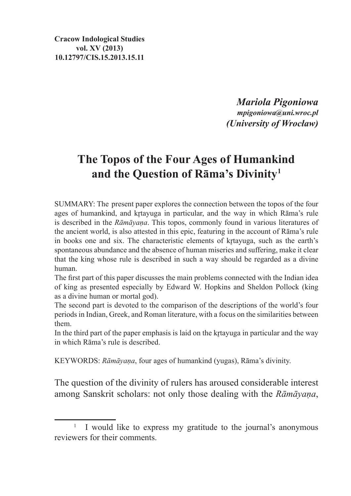**Cracow Indological Studies vol. XV (2013) 10.12797/CIS.15.2013.15.11**

> *Mariola Pigoniowa mpigoniowa@uni.wroc.pl (University of Wrocław)*

## **The Topos of the Four Ages of Humankind and the Question of Rāma's Divinity1**

SUMMARY: The present paper explores the connection between the topos of the four ages of humankind, and krtayuga in particular, and the way in which Rāma's rule is described in the *Rāmāyaṇa*. This topos, commonly found in various literatures of the ancient world, is also attested in this epic, featuring in the account of Rāma's rule in books one and six. The characteristic elements of krtayuga, such as the earth's spontaneous abundance and the absence of human miseries and suffering, make it clear that the king whose rule is described in such a way should be regarded as a divine human.

The first part of this paper discusses the main problems connected with the Indian idea of king as presented especially by Edward W. Hopkins and Sheldon Pollock (king as a divine human or mortal god).

The second part is devoted to the comparison of the descriptions of the world's four periods in Indian, Greek, and Roman literature, with a focus on the similarities between them.

In the third part of the paper emphasis is laid on the krtayuga in particular and the way in which Rāma's rule is described.

KEYWORDS: *Rāmāyaṇa*, four ages of humankind (yugas), Rāma's divinity.

The question of the divinity of rulers has aroused considerable interest among Sanskrit scholars: not only those dealing with the *Rāmāyaṇa*,

<sup>&</sup>lt;sup>1</sup> I would like to express my gratitude to the journal's anonymous reviewers for their comments.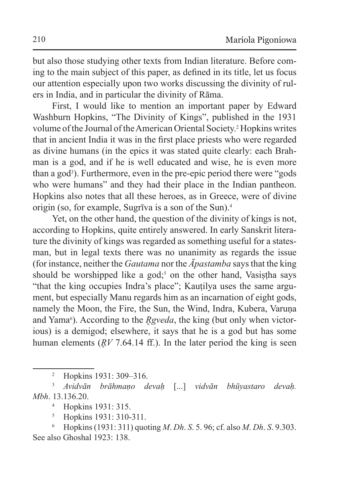but also those studying other texts from Indian literature. Before coming to the main subject of this paper, as defined in its title, let us focus our attention especially upon two works discussing the divinity of rulers in India, and in particular the divinity of Rāma.

First, I would like to mention an important paper by Edward Washburn Hopkins, "The Divinity of Kings", published in the 1931 volume of the Journal of theAmerican Oriental Society.<sup>2</sup> Hopkins writes that in ancient India it was in the first place priests who were regarded as divine humans (in the epics it was stated quite clearly: each Brahman is a god, and if he is well educated and wise, he is even more than a god<sup>3</sup>). Furthermore, even in the pre-epic period there were "gods who were humans" and they had their place in the Indian pantheon. Hopkins also notes that all these heroes, as in Greece, were of divine origin (so, for example, Sugrīva is a son of the Sun).<sup>4</sup>

Yet, on the other hand, the question of the divinity of kings is not, according to Hopkins, quite entirely answered. In early Sanskrit literature the divinity of kings was regarded as something useful for a statesman, but in legal texts there was no unanimity as regards the issue (for instance, neither the *Gautama* nor the *Āpastamba* says that the king should be worshipped like a god;<sup>5</sup> on the other hand, Vasistha says "that the king occupies Indra's place"; Kauṭilya uses the same argument, but especially Manu regards him as an incarnation of eight gods, namely the Moon, the Fire, the Sun, the Wind, Indra, Kubera, Varuna and Yama<sup>6</sup>). According to the *R*<sub>*gveda*, the king (but only when victor-</sub> ious) is a demigod; elsewhere, it says that he is a god but has some human elements  $(RV 7.64.14 \text{ ff.})$ . In the later period the king is seen

<sup>5</sup> Hopkins 1931: 310-311.

<sup>6</sup> Hopkins (1931: 311) quoting *M*. *Dh*. *S*. 5. 96; cf. also *M*. *Dh*. *S*. 9.303. See also Ghoshal 1923: 138.

<sup>2</sup> Hopkins 1931: 309–316.

<sup>3</sup> *Avidvān brāhmaṇo devaḥ* [...] *vidvān bhūyastaro devaḥ. Mbh*. 13.136.20.

<sup>4</sup> Hopkins 1931: 315.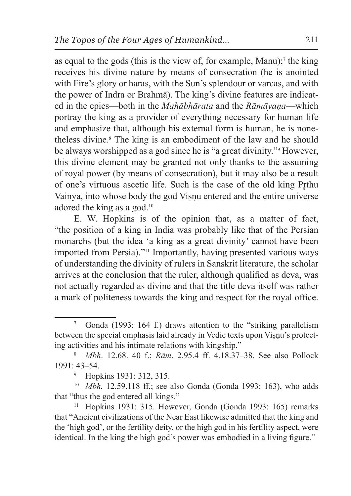as equal to the gods (this is the view of, for example, Manu);<sup>7</sup> the king receives his divine nature by means of consecration (he is anointed with Fire's glory or haras, with the Sun's splendour or varcas, and with the power of Indra or Brahmā). The king's divine features are indicated in the epics—both in the *Mahābhārata* and the *Rāmāyaṇa*—which portray the king as a provider of everything necessary for human life and emphasize that, although his external form is human, he is nonetheless divine.<sup>8</sup> The king is an embodiment of the law and he should be always worshipped as a god since he is "a great divinity."<sup>9</sup> However, this divine element may be granted not only thanks to the assuming of royal power (by means of consecration), but it may also be a result of one's virtuous ascetic life. Such is the case of the old king Pr̥thu Vainya, into whose body the god Visnu entered and the entire universe adored the king as a god.<sup>10</sup>

E. W. Hopkins is of the opinion that, as a matter of fact, "the position of a king in India was probably like that of the Persian monarchs (but the idea 'a king as a great divinity' cannot have been imported from Persia)."11 Importantly, having presented various ways of understanding the divinity of rulers in Sanskrit literature, the scholar arrives at the conclusion that the ruler, although qualified as deva, was not actually regarded as divine and that the title deva itself was rather a mark of politeness towards the king and respect for the royal office.

<sup>7</sup> Gonda (1993: 164 f.) draws attention to the "striking parallelism between the special emphasis laid already in Vedic texts upon Viṣṇu's protecting activities and his intimate relations with kingship."

<sup>8</sup> *Mbh*. 12.68. 40 f.; *Rām*. 2.95.4 ff. 4.18.37–38. See also Pollock 1991: 43–54.

<sup>9</sup> Hopkins 1931: 312, 315.

<sup>10</sup> *Mbh.* 12.59.118 ff.; see also Gonda (Gonda 1993: 163), who adds that "thus the god entered all kings."

<sup>11</sup> Hopkins 1931: 315. However, Gonda (Gonda 1993: 165) remarks that "Ancient civilizations of the Near East likewise admitted that the king and the 'high god', or the fertility deity, or the high god in his fertility aspect, were identical. In the king the high god's power was embodied in a living figure."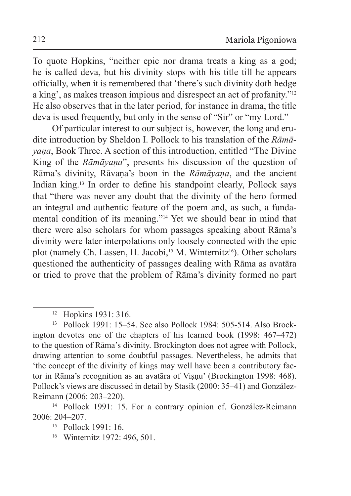To quote Hopkins, "neither epic nor drama treats a king as a god; he is called deva, but his divinity stops with his title till he appears officially, when it is remembered that 'there's such divinity doth hedge a king', as makes treason impious and disrespect an act of profanity."<sup>12</sup> He also observes that in the later period, for instance in drama, the title deva is used frequently, but only in the sense of "Sir" or "my Lord."

Of particular interest to our subject is, however, the long and erudite introduction by Sheldon I. Pollock to his translation of the *Rāmāyaṇa*, Book Three. A section of this introduction, entitled "The Divine King of the *Rāmāyaṇa*", presents his discussion of the question of Rāma's divinity, Rāvaṇa's boon in the *Rāmāyaṇa*, and the ancient Indian king.13 In order to define his standpoint clearly, Pollock says that "there was never any doubt that the divinity of the hero formed an integral and authentic feature of the poem and, as such, a fundamental condition of its meaning."14 Yet we should bear in mind that there were also scholars for whom passages speaking about Rāma's divinity were later interpolations only loosely connected with the epic plot (namely Ch. Lassen, H. Jacobi,<sup>15</sup> M. Winternitz<sup>16</sup>). Other scholars questioned the authenticity of passages dealing with Rāma as avatāra or tried to prove that the problem of Rāma's divinity formed no part

<sup>12</sup> Hopkins 1931: 316.

<sup>13</sup> Pollock 1991: 15–54. See also Pollock 1984: 505-514. Also Brockington devotes one of the chapters of his learned book (1998: 467–472) to the question of Rāma's divinity. Brockington does not agree with Pollock, drawing attention to some doubtful passages. Nevertheless, he admits that 'the concept of the divinity of kings may well have been a contributory factor in Rāma's recognition as an avatāra of Viṣṇu' (Brockington 1998: 468). Pollock's views are discussed in detail by Stasik (2000: 35–41) and González--Reimann (2006: 203–220).

<sup>14</sup> Pollock 1991: 15. For a contrary opinion cf. González-Reimann 2006: 204–207.

<sup>15</sup> Pollock 1991: 16.

<sup>16</sup> Winternitz 1972: 496, 501.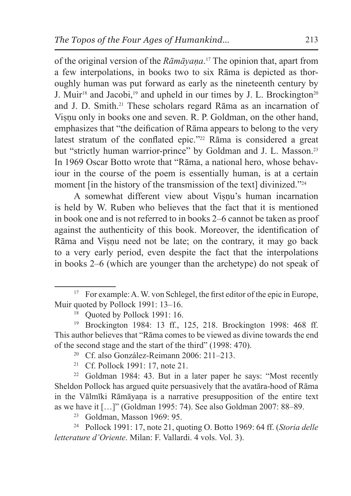of the original version of the *Rāmāyaṇa*. 17 The opinion that, apart from a few interpolations, in books two to six Rāma is depicted as thoroughly human was put forward as early as the nineteenth century by J. Muir<sup>18</sup> and Jacobi,<sup>19</sup> and upheld in our times by J. L. Brockington<sup>20</sup> and J. D. Smith.21 These scholars regard Rāma as an incarnation of Visnu only in books one and seven. R. P. Goldman, on the other hand, emphasizes that "the deification of Rāma appears to belong to the very latest stratum of the conflated epic."22 Rāma is considered a great but "strictly human warrior-prince" by Goldman and J. L. Masson.<sup>23</sup> In 1969 Oscar Botto wrote that "Rāma, a national hero, whose behaviour in the course of the poem is essentially human, is at a certain moment [in the history of the transmission of the text] divinized."<sup>24</sup>

A somewhat different view about Viṣṇu's human incarnation is held by W. Ruben who believes that the fact that it is mentioned in book one and is not referred to in books 2–6 cannot be taken as proof against the authenticity of this book. Moreover, the identification of Rāma and Visnu need not be late; on the contrary, it may go back to a very early period, even despite the fact that the interpolations in books 2–6 (which are younger than the archetype) do not speak of

<sup>&</sup>lt;sup>17</sup> For example: A. W. von Schlegel, the first editor of the epic in Europe, Muir quoted by Pollock 1991: 13–16.

<sup>&</sup>lt;sup>18</sup> Quoted by Pollock 1991: 16.

<sup>19</sup> Brockington 1984: 13 ff., 125, 218. Brockington 1998: 468 ff. This author believes that "Rāma comes to be viewed as divine towards the end of the second stage and the start of the third" (1998: 470).

<sup>&</sup>lt;sup>20</sup> Cf. also González-Reimann 2006: 211–213.

<sup>21</sup> Cf. Pollock 1991: 17, note 21.

<sup>22</sup> Goldman 1984: 43. But in a later paper he says: "Most recently Sheldon Pollock has argued quite persuasively that the avatāra-hood of Rāma in the Vālmīki Rāmāyaṇa is a narrative presupposition of the entire text as we have it […]" (Goldman 1995: 74). See also Goldman 2007: 88–89.

<sup>23</sup> Goldman, Masson 1969: 95.

<sup>24</sup> Pollock 1991: 17, note 21, quoting O. Botto 1969: 64 ff. (*Storia delle letterature d'Oriente*. Milan: F. Vallardi. 4 vols. Vol. 3).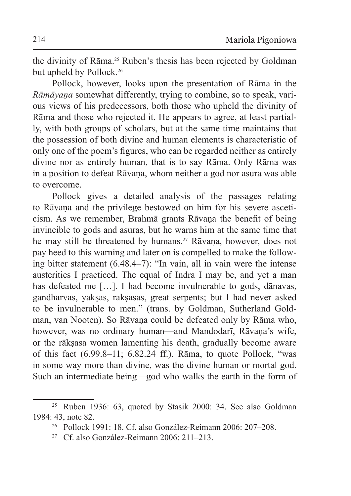the divinity of Rāma.25 Ruben's thesis has been rejected by Goldman but upheld by Pollock.<sup>26</sup>

Pollock, however, looks upon the presentation of Rāma in the *Rāmāyaṇa* somewhat differently, trying to combine, so to speak, various views of his predecessors, both those who upheld the divinity of Rāma and those who rejected it. He appears to agree, at least partially, with both groups of scholars, but at the same time maintains that the possession of both divine and human elements is characteristic of only one of the poem's figures, who can be regarded neither as entirely divine nor as entirely human, that is to say Rāma. Only Rāma was in a position to defeat Rāvana, whom neither a god nor asura was able to overcome.

Pollock gives a detailed analysis of the passages relating to Rāvaṇa and the privilege bestowed on him for his severe asceticism. As we remember, Brahmā grants Rāvaṇa the benefit of being invincible to gods and asuras, but he warns him at the same time that he may still be threatened by humans.<sup>27</sup> Rāvaṇa, however, does not pay heed to this warning and later on is compelled to make the following bitter statement (6.48.4–7): "In vain, all in vain were the intense austerities I practiced. The equal of Indra I may be, and yet a man has defeated me [...]. I had become invulnerable to gods, dānavas, gandharvas, yakṣas, rakṣasas, great serpents; but I had never asked to be invulnerable to men." (trans. by Goldman, Sutherland Goldman, van Nooten). So Rāvaṇa could be defeated only by Rāma who, however, was no ordinary human—and Mandodarī, Rāvana's wife, or the rākṣasa women lamenting his death, gradually become aware of this fact (6.99.8–11; 6.82.24 ff.). Rāma, to quote Pollock, "was in some way more than divine, was the divine human or mortal god. Such an intermediate being—god who walks the earth in the form of

<sup>25</sup> Ruben 1936: 63, quoted by Stasik 2000: 34. See also Goldman 1984: 43, note 82.

<sup>26</sup> Pollock 1991: 18. Cf. also González-Reimann 2006: 207–208.

<sup>27</sup> Cf. also González-Reimann 2006: 211–213.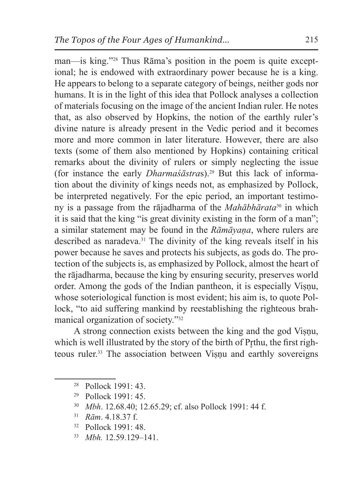man—is king."28 Thus Rāma's position in the poem is quite exceptional; he is endowed with extraordinary power because he is a king. He appears to belong to a separate category of beings, neither gods nor humans. It is in the light of this idea that Pollock analyses a collection of materials focusing on the image of the ancient Indian ruler. He notes that, as also observed by Hopkins, the notion of the earthly ruler's divine nature is already present in the Vedic period and it becomes more and more common in later literature. However, there are also texts (some of them also mentioned by Hopkins) containing critical remarks about the divinity of rulers or simply neglecting the issue (for instance the early *Dharmaśāstra*s).29 But this lack of information about the divinity of kings needs not, as emphasized by Pollock, be interpreted negatively. For the epic period, an important testimony is a passage from the rājadharma of the *Mahābhārata*30 in which it is said that the king "is great divinity existing in the form of a man"; a similar statement may be found in the *Rāmāyaṇa*, where rulers are described as naradeva.31 The divinity of the king reveals itself in his power because he saves and protects his subjects, as gods do. The protection of the subjects is, as emphasized by Pollock, almost the heart of the rājadharma, because the king by ensuring security, preserves world order. Among the gods of the Indian pantheon, it is especially Viṣṇu, whose soteriological function is most evident; his aim is, to quote Pollock, "to aid suffering mankind by reestablishing the righteous brahmanical organization of society."<sup>32</sup>

A strong connection exists between the king and the god Visnu, which is well illustrated by the story of the birth of Prthu, the first righteous ruler.33 The association between Viṣṇu and earthly sovereigns

- <sup>30</sup> *Mbh*. 12.68.40; 12.65.29; cf. also Pollock 1991: 44 f.
- <sup>31</sup> *Rām*. 4.18.37 f.
- <sup>32</sup> Pollock 1991: 48.
- <sup>33</sup> *Mbh.* 12.59.129–141.

<sup>28</sup> Pollock 1991: 43.

<sup>29</sup> Pollock 1991: 45.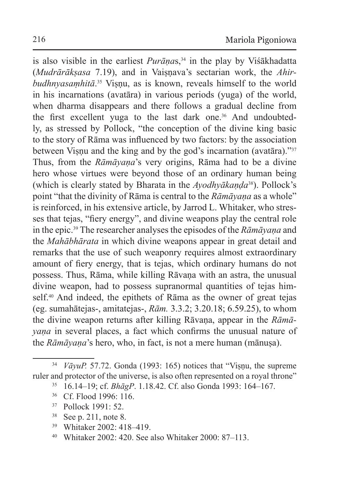is also visible in the earliest *Purāṇa*s,34 in the play by Viśākhadatta (*Mudrārākṣasa* 7.19), and in Vaiṣṇava's sectarian work, the *Ahirbudhnyasaṃhitā*. <sup>35</sup> Viṣṇu, as is known, reveals himself to the world in his incarnations (avatāra) in various periods (yuga) of the world, when dharma disappears and there follows a gradual decline from the first excellent yuga to the last dark one.<sup>36</sup> And undoubtedly, as stressed by Pollock, "the conception of the divine king basic to the story of Rāma was influenced by two factors: by the association between Viṣṇu and the king and by the god's incarnation (avatāra)."37 Thus, from the *Rāmāyaṇa*'s very origins, Rāma had to be a divine hero whose virtues were beyond those of an ordinary human being (which is clearly stated by Bharata in the *Ayodhyākaṇḍa*38). Pollock's point "that the divinity of Rāma is central to the *Rāmāyaṇa* as a whole" is reinforced, in his extensive article, by Jarrod L. Whitaker, who stresses that tejas, "fiery energy", and divine weapons play the central role in the epic.39 The researcher analyses the episodes of the *Rāmāyaṇa* and the *Mahābhārata* in which divine weapons appear in great detail and remarks that the use of such weaponry requires almost extraordinary amount of fiery energy, that is tejas, which ordinary humans do not possess. Thus, Rāma, while killing Rāvaṇa with an astra, the unusual divine weapon, had to possess supranormal quantities of tejas himself.<sup>40</sup> And indeed, the epithets of Rama as the owner of great tejas (eg. sumahātejas-, amitatejas-, *Rām.* 3.3.2; 3.20.18; 6.59.25), to whom the divine weapon returns after killing Rāvaṇa, appear in the *Rāmāyaṇa* in several places, a fact which confirms the unusual nature of the *Rāmāyana*'s hero, who, in fact, is not a mere human (mānusa).

- <sup>37</sup> Pollock 1991: 52.
- <sup>38</sup> See p. 211, note 8.
- <sup>39</sup> Whitaker 2002: 418–419.
- <sup>40</sup> Whitaker 2002: 420. See also Whitaker 2000: 87–113.

<sup>&</sup>lt;sup>34</sup> *VāyuP.* 57.72. Gonda (1993: 165) notices that "Visnu, the supreme ruler and protector of the universe, is also often represented on a royal throne"

<sup>35</sup> 16.14–19; cf. *BhāgP*. 1.18.42. Cf. also Gonda 1993: 164–167.

<sup>36</sup> Cf. Flood 1996: 116.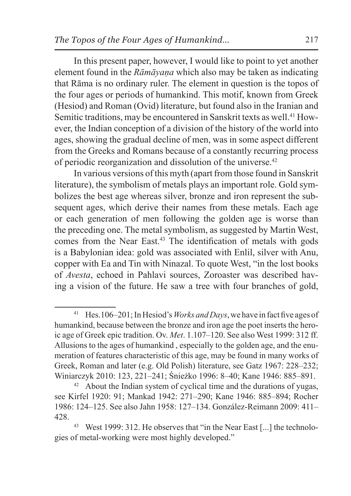In this present paper, however, I would like to point to yet another element found in the *Rāmāyaṇa* which also may be taken as indicating that Rāma is no ordinary ruler. The element in question is the topos of the four ages or periods of humankind. This motif, known from Greek (Hesiod) and Roman (Ovid) literature, but found also in the Iranian and Semitic traditions, may be encountered in Sanskrit texts as well.<sup>41</sup> However, the Indian conception of a division of the history of the world into ages, showing the gradual decline of men, was in some aspect different from the Greeks and Romans because of a constantly recurring process of periodic reorganization and dissolution of the universe.<sup>42</sup>

In various versions of this myth (apart from those found in Sanskrit literature), the symbolism of metals plays an important role. Gold symbolizes the best age whereas silver, bronze and iron represent the subsequent ages, which derive their names from these metals. Each age or each generation of men following the golden age is worse than the preceding one. The metal symbolism, as suggested by Martin West, comes from the Near East.<sup>43</sup> The identification of metals with gods is a Babylonian idea: gold was associated with Enlil, silver with Anu, copper with Ea and Tin with Ninazal. To quote West, "in the lost books of *Avesta*, echoed in Pahlavi sources, Zoroaster was described having a vision of the future. He saw a tree with four branches of gold,

<sup>41</sup> Hes.106–201; In Hesiod's *Works and Days*, we have in fact five ages of humankind, because between the bronze and iron age the poet inserts the heroic age of Greek epic tradition. Ov. *Met*. 1.107–120. See also West 1999: 312 ff. Allusions to the ages of humankind , especially to the golden age, and the enumeration of features characteristic of this age, may be found in many works of Greek, Roman and later (e.g. Old Polish) literature, see Gatz 1967: 228–232; Winiarczyk 2010: 123, 221–241; Śnieżko 1996: 8–40; Kane 1946: 885–891.

<sup>42</sup> About the Indian system of cyclical time and the durations of yugas, see Kirfel 1920: 91; Mankad 1942: 271–290; Kane 1946: 885–894; Rocher 1986: 124–125. See also Jahn 1958: 127–134. González-Reimann 2009: 411– 428.

<sup>43</sup> West 1999: 312. He observes that "in the Near East [...] the technologies of metal-working were most highly developed."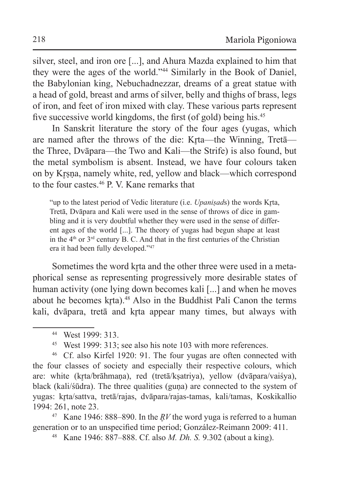silver, steel, and iron ore [...], and Ahura Mazda explained to him that they were the ages of the world."<sup>44</sup> Similarly in the Book of Daniel, the Babylonian king, Nebuchadnezzar, dreams of a great statue with a head of gold, breast and arms of silver, belly and thighs of brass, legs of iron, and feet of iron mixed with clay. These various parts represent five successive world kingdoms, the first (of gold) being his.<sup>45</sup>

In Sanskrit literature the story of the four ages (yugas, which are named after the throws of the die: Krta—the Winning, Treta the Three, Dvāpara—the Two and Kali—the Strife) is also found, but the metal symbolism is absent. Instead, we have four colours taken on by Kr̥ṣṇa, namely white, red, yellow and black—which correspond to the four castes.<sup>46</sup> P. V. Kane remarks that

"up to the latest period of Vedic literature (i.e. *Upaniṣad*s) the words Kr̥ta, Tretā, Dvāpara and Kali were used in the sense of throws of dice in gambling and it is very doubtful whether they were used in the sense of different ages of the world [...]. The theory of yugas had begun shape at least in the  $4<sup>th</sup>$  or  $3<sup>rd</sup>$  century B. C. And that in the first centuries of the Christian era it had been fully developed."<sup>47</sup>

Sometimes the word krta and the other three were used in a metaphorical sense as representing progressively more desirable states of human activity (one lying down becomes kali [...] and when he moves about he becomes krta).<sup>48</sup> Also in the Buddhist Pali Canon the terms kali, dvāpara, tretā and krta appear many times, but always with

<sup>46</sup> Cf. also Kirfel 1920: 91. The four yugas are often connected with the four classes of society and especially their respective colours, which are: white (kr̥ta/brāhmana), red (tretā/kṣatriya), yellow (dvāpara/vaiśya), black (kali/sūdra). The three qualities (guna) are connected to the system of yugas: krta/sattva, tretā/rajas, dvāpara/rajas-tamas, kali/tamas, Koskikallio 1994: 261, note 23.

<sup>47</sup> Kane 1946: 888–890. In the  $RV$  the word yuga is referred to a human generation or to an unspecified time period; González-Reimann 2009: 411.

<sup>48</sup> Kane 1946: 887–888. Cf. also *M. Dh. S.* 9.302 (about a king).

<sup>44</sup> West 1999: 313.

<sup>45</sup> West 1999: 313; see also his note 103 with more references.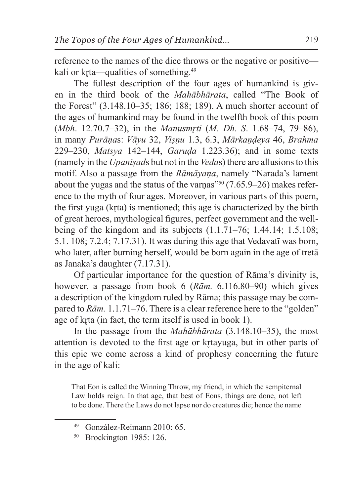reference to the names of the dice throws or the negative or positive kali or krta—qualities of something.<sup>49</sup>

The fullest description of the four ages of humankind is given in the third book of the *Mahābhārata*, called "The Book of the Forest" (3.148.10–35; 186; 188; 189). A much shorter account of the ages of humankind may be found in the twelfth book of this poem (*Mbh*. 12.70.7–32), in the *Manusmr̥ti* (*M*. *Dh*. *S*. 1.68–74, 79–86), in many *Purāṇa*s: *Vāyu* 32, *Viṣṇu* 1.3, 6.3, *Mārkaṇḍeya* 46, *Brahma*  229–230, *Matsya* 142–144, *Garuḍa* 1.223.36); and in some texts (namely in the *Upaniṣad*s but not in the *Veda*s) there are allusions to this motif. Also a passage from the *Rāmāyaṇa*, namely "Narada's lament about the yugas and the status of the varnas"<sup>50</sup> (7.65.9–26) makes reference to the myth of four ages. Moreover, in various parts of this poem, the first yuga (kr̥ta) is mentioned; this age is characterized by the birth of great heroes, mythological figures, perfect government and the wellbeing of the kingdom and its subjects  $(1.1.71-76; 1.44.14; 1.5.108;$ 5.1. 108; 7.2.4; 7.17.31). It was during this age that Vedavatī was born, who later, after burning herself, would be born again in the age of tretā as Janaka's daughter (7.17.31).

Of particular importance for the question of Rāma's divinity is, however, a passage from book 6 (*Rām.* 6.116.80–90) which gives a description of the kingdom ruled by Rāma; this passage may be compared to *Rām.* 1.1.71–76. There is a clear reference here to the "golden" age of krta (in fact, the term itself is used in book 1).

In the passage from the *Mahābhārata* (3.148.10–35), the most attention is devoted to the first age or krtayuga, but in other parts of this epic we come across a kind of prophesy concerning the future in the age of kali:

That Eon is called the Winning Throw, my friend, in which the sempiternal Law holds reign. In that age, that best of Eons, things are done, not left to be done. There the Laws do not lapse nor do creatures die; hence the name

<sup>49</sup> González-Reimann 2010: 65.

<sup>50</sup> Brockington 1985: 126.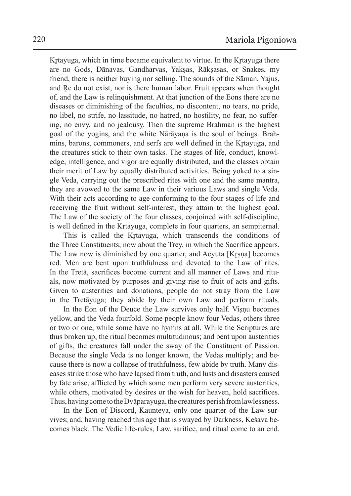Krtayuga, which in time became equivalent to virtue. In the Krtayuga there are no Gods, Dānavas, Gandharvas, Yaksas, Rāksasas, or Snakes, my friend, there is neither buying nor selling. The sounds of the Sāman, Yajus, and Rc do not exist, nor is there human labor. Fruit appears when thought of, and the Law is relinquishment. At that junction of the Eons there are no diseases or diminishing of the faculties, no discontent, no tears, no pride, no libel, no strife, no lassitude, no hatred, no hostility, no fear, no suffering, no envy, and no jealousy. Then the supreme Brahman is the highest goal of the yogins, and the white Nārāyaṇa is the soul of beings. Brahmins, barons, commoners, and serfs are well defined in the Krtayuga, and the creatures stick to their own tasks. The stages of life, conduct, knowledge, intelligence, and vigor are equally distributed, and the classes obtain their merit of Law by equally distributed activities. Being yoked to a single Veda, carrying out the prescribed rites with one and the same mantra, they are avowed to the same Law in their various Laws and single Veda. With their acts according to age conforming to the four stages of life and receiving the fruit without self-interest, they attain to the highest goal. The Law of the society of the four classes, conjoined with self-discipline, is well defined in the Krtayuga, complete in four quarters, an sempiternal.

This is called the Krtayuga, which transcends the conditions of the Three Constituents; now about the Trey, in which the Sacrifice appears. The Law now is diminished by one quarter, and Acyuta [Krsna] becomes red. Men are bent upon truthfulness and devoted to the Law of rites. In the Tretā, sacrifices become current and all manner of Laws and rituals, now motivated by purposes and giving rise to fruit of acts and gifts. Given to austerities and donations, people do not stray from the Law in the Tretāyuga; they abide by their own Law and perform rituals.

In the Eon of the Deuce the Law survives only half. Viṣṇu becomes yellow, and the Veda fourfold. Some people know four Vedas, others three or two or one, while some have no hymns at all. While the Scriptures are thus broken up, the ritual becomes multitudinous; and bent upon austerities of gifts, the creatures fall under the sway of the Constituent of Passion. Because the single Veda is no longer known, the Vedas multiply; and because there is now a collapse of truthfulness, few abide by truth. Many diseases strike those who have lapsed from truth, and lusts and disasters caused by fate arise, afflicted by which some men perform very severe austerities, while others, motivated by desires or the wish for heaven, hold sacrifices. Thus, having come to the Dvāparayuga, the creatures perish from lawlessness.

In the Eon of Discord, Kaunteya, only one quarter of the Law survives; and, having reached this age that is swayed by Darkness, Keśava becomes black. The Vedic life-rules, Law, sarifice, and ritual come to an end.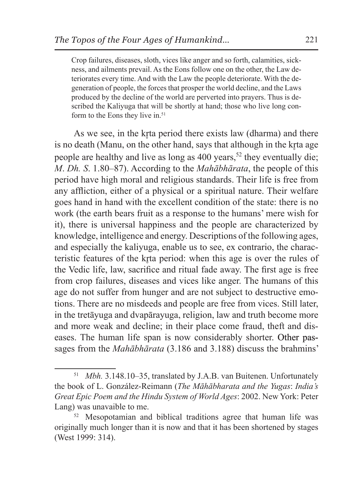Crop failures, diseases, sloth, vices like anger and so forth, calamities, sickness, and ailments prevail. As the Eons follow one on the other, the Law deteriorates every time. And with the Law the people deteriorate. With the degeneration of people, the forces that prosper the world decline, and the Laws produced by the decline of the world are perverted into prayers. Thus is described the Kaliyuga that will be shortly at hand; those who live long conform to the Eons they live in.<sup>51</sup>

As we see, in the krta period there exists law (dharma) and there is no death (Manu, on the other hand, says that although in the krta age people are healthy and live as long as 400 years,<sup>52</sup> they eventually die; *M*. *Dh. S*. 1.80–87). According to the *Mahābhārata*, the people of this period have high moral and religious standards. Their life is free from any affliction, either of a physical or a spiritual nature. Their welfare goes hand in hand with the excellent condition of the state: there is no work (the earth bears fruit as a response to the humans' mere wish for it), there is universal happiness and the people are characterized by knowledge, intelligence and energy. Descriptions of the following ages, and especially the kaliyuga, enable us to see, ex contrario, the characteristic features of the krta period: when this age is over the rules of the Vedic life, law, sacrifice and ritual fade away. The first age is free from crop failures, diseases and vices like anger. The humans of this age do not suffer from hunger and are not subject to destructive emotions. There are no misdeeds and people are free from vices. Still later, in the tretāyuga and dvapārayuga, religion, law and truth become more and more weak and decline; in their place come fraud, theft and diseases. The human life span is now considerably shorter. Other passages from the *Mahābhārata* (3.186 and 3.188) discuss the brahmins'

<sup>51</sup> *Mbh.* 3.148.10–35, translated by J.A.B. van Buitenen. Unfortunately the book of L. González-Reimann (*The Māhābharata and the Yugas*: *India's Great Epic Poem and the Hindu System of World Ages*: 2002. New York: Peter Lang) was unavaible to me.

<sup>52</sup> Mesopotamian and biblical traditions agree that human life was originally much longer than it is now and that it has been shortened by stages (West 1999: 314).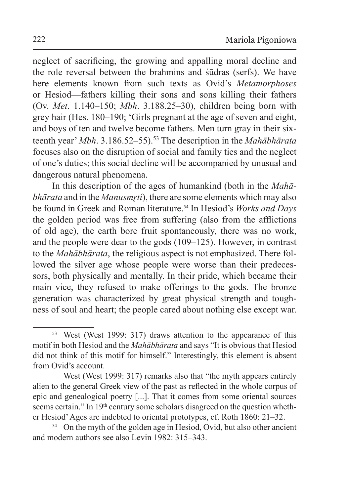neglect of sacrificing, the growing and appalling moral decline and the role reversal between the brahmins and śūdras (serfs). We have here elements known from such texts as Ovid's *Metamorphoses* or Hesiod—fathers killing their sons and sons killing their fathers (Ov. *Met*. 1.140–150; *Mbh*. 3.188.25–30), children being born with grey hair (Hes. 180–190; 'Girls pregnant at the age of seven and eight, and boys of ten and twelve become fathers. Men turn gray in their sixteenth year' *Mbh.* 3.186.52–55).<sup>53</sup> The description in the *Mahābhārata* focuses also on the disruption of social and family ties and the neglect of one's duties; this social decline will be accompanied by unusual and dangerous natural phenomena.

In this description of the ages of humankind (both in the *Mahābhārata* and in the *Manusmr̥ti*), there are some elements which may also be found in Greek and Roman literature.54 In Hesiod's *Works and Days* the golden period was free from suffering (also from the afflictions of old age), the earth bore fruit spontaneously, there was no work, and the people were dear to the gods (109–125). However, in contrast to the *Mahābhārata*, the religious aspect is not emphasized. There followed the silver age whose people were worse than their predecessors, both physically and mentally. In their pride, which became their main vice, they refused to make offerings to the gods. The bronze generation was characterized by great physical strength and toughness of soul and heart; the people cared about nothing else except war.

<sup>53</sup> West (West 1999: 317) draws attention to the appearance of this motif in both Hesiod and the *Mahābhārata* and says "It is obvious that Hesiod did not think of this motif for himself." Interestingly, this element is absent from Ovid's account.

West (West 1999: 317) remarks also that "the myth appears entirely alien to the general Greek view of the past as reflected in the whole corpus of epic and genealogical poetry [...]. That it comes from some oriental sources seems certain." In 19<sup>th</sup> century some scholars disagreed on the question whether Hesiod' Ages are indebted to oriental prototypes, cf. Roth 1860: 21–32.

<sup>&</sup>lt;sup>54</sup> On the myth of the golden age in Hesiod, Ovid, but also other ancient and modern authors see also Levin 1982: 315–343.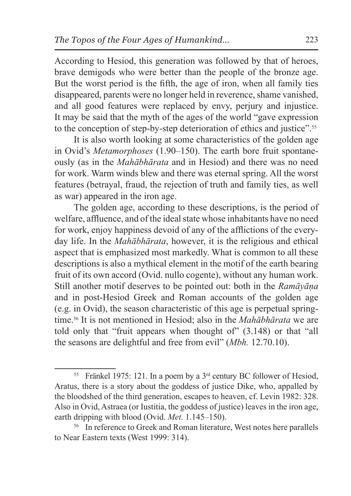According to Hesiod, this generation was followed by that of heroes, brave demigods who were better than the people of the bronze age. But the worst period is the fifth, the age of iron, when all family ties disappeared, parents were no longer held in reverence, shame vanished, and all good features were replaced by envy, perjury and injustice. It may be said that the myth of the ages of the world "gave expression to the conception of step-by-step deterioration of ethics and justice".<sup>55</sup>

It is also worth looking at some characteristics of the golden age in Ovid's *Metamorphoses* (1.90–150). The earth bore fruit spontaneously (as in the *Mahābhārata* and in Hesiod) and there was no need for work. Warm winds blew and there was eternal spring. All the worst features (betrayal, fraud, the rejection of truth and family ties, as well as war) appeared in the iron age.

The golden age, according to these descriptions, is the period of welfare, affluence, and of the ideal state whose inhabitants have no need for work, enjoy happiness devoid of any of the afflictions of the everyday life. In the *Mahābhārata*, however, it is the religious and ethical aspect that is emphasized most markedly. What is common to all these descriptions is also a mythical element in the motif of the earth bearing fruit of its own accord (Ovid. nullo cogente), without any human work. Still another motif deserves to be pointed out: both in the *Ramāyāṇa* and in post-Hesiod Greek and Roman accounts of the golden age (e.g. in Ovid), the season characteristic of this age is perpetual springtime.56 It is not mentioned in Hesiod; also in the *Mahābhārata* we are told only that "fruit appears when thought of" (3.148) or that "all the seasons are delightful and free from evil" (*Mbh.* 12.70.10).

<sup>&</sup>lt;sup>55</sup> Fränkel 1975: 121. In a poem by a  $3<sup>rd</sup>$  century BC follower of Hesiod, Aratus, there is a story about the goddess of justice Dike, who, appalled by the bloodshed of the third generation, escapes to heaven, cf. Levin 1982: 328. Also in Ovid, Astraea (or Iustitia, the goddess of justice) leaves in the iron age, earth dripping with blood (Ovid. *Met*. 1.145–150).

<sup>56</sup> In reference to Greek and Roman literature, West notes here parallels to Near Eastern texts (West 1999: 314).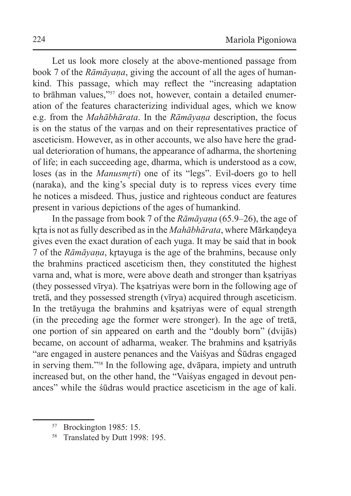Let us look more closely at the above-mentioned passage from book 7 of the *Rāmāyaṇa*, giving the account of all the ages of humankind. This passage, which may reflect the "increasing adaptation to brāhman values,"<sup>57</sup> does not, however, contain a detailed enumeration of the features characterizing individual ages, which we know e.g. from the *Mahābhārata*. In the *Rāmāyaṇa* description, the focus is on the status of the varnas and on their representatives practice of asceticism. However, as in other accounts, we also have here the gradual deterioration of humans, the appearance of adharma, the shortening of life; in each succeeding age, dharma, which is understood as a cow, loses (as in the *Manusmr̥ti*) one of its "legs". Evil-doers go to hell (naraka), and the king's special duty is to repress vices every time he notices a misdeed. Thus, justice and righteous conduct are features present in various depictions of the ages of humankind.

In the passage from book 7 of the *Rāmāyaṇa* (65.9–26), the age of kr̥ta is not asfully described asin the *Mahābhārata*, where Mārkaṇḍeya gives even the exact duration of each yuga. It may be said that in book 7 of the *Rāmāyana*, krtayuga is the age of the brahmins, because only the brahmins practiced asceticism then, they constituted the highest varna and, what is more, were above death and stronger than ksatriyas (they possessed vīrya). The kṣatriyas were born in the following age of tretā, and they possessed strength (vīrya) acquired through asceticism. In the tretāyuga the brahmins and kṣatriyas were of equal strength (in the preceding age the former were stronger). In the age of tretā, one portion of sin appeared on earth and the "doubly born" (dvijās) became, on account of adharma, weaker. The brahmins and ksatriyas "are engaged in austere penances and the Vaiśyas and Śūdras engaged in serving them."58 In the following age, dvāpara, impiety and untruth increased but, on the other hand, the "Vaiśyas engaged in devout penances" while the śūdras would practice asceticism in the age of kali.

<sup>57</sup> Brockington 1985: 15.

<sup>58</sup> Translated by Dutt 1998: 195.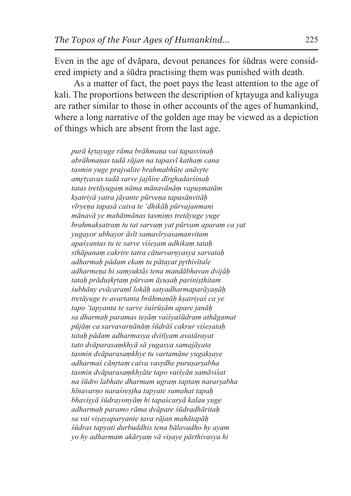Even in the age of dvāpara, devout penances for śūdras were considered impiety and a śūdra practising them was punished with death.

As a matter of fact, the poet pays the least attention to the age of kali. The proportions between the description of krtayuga and kaliyuga are rather similar to those in other accounts of the ages of humankind, where a long narrative of the golden age may be viewed as a depiction of things which are absent from the last age.

*purā kr̥tayuge rāma brāhmaṇa vai tapasvinaḥ abrāhmaṇas tadā rājan na tapasvī kathaṃ cana tasmin yuge prajvalite brahmabhūte anāvr̥te amr̥tyavas tadā sarve jajñire dīrghadarśinaḥ tatas tretāyugaṃ nāma mānavānāṃ vapuṣmatām kṣatriyā yatra jāyante pūrveṇa tapasānvitāḥ vīryeṇa tapasā caiva te 'dhikāḥ pūrvajanmani mānavā ye mahātmānas tasmiṃs tretāyuge yuge brahmakṣatraṃ tu tat sarvaṃ yat pūrvam aparaṃ ca yat yugayor ubhayor āsīt samavīryasamanvitam apaśyantas tu te sarve viśeṣam adhikaṃ tataḥ sthāpanaṃ cakrire tatra cāturvarṇyasya sarvataḥ adharmaḥ pādam ekaṃ tu pātayat pr̥thivītale adharmeṇa hi saṃyuktās tena mandābhavan dvijāḥ tataḥ prāduṣkr̥taṃ pūrvam āyuṣaḥ pariniṣṭhitam śubhāny evācaraṃl lokāḥ satyadharmaparāyaṇāḥ tretāyuge tv avartanta brāhmaṇāḥ kṣatriyaś ca ye tapo 'tapyanta te sarve śuśrūṣām apare janāḥ sa dharmaḥ paramas teṣāṃ vaiśyaśūdram athāgamat pūjāṃ ca sarvavarṇānāṃ śūdrāś cakrur viśeṣataḥ tataḥ pādam adharmasya dvitīyam avatārayat tato dvāparasaṃkhyā sā yugasya samajāyata tasmin dvāparasaṃkhye tu vartamāne yugakṣaye adharmaś cānr̥taṃ caiva vavr̥dhe puruṣarṣabha tasmin dvāparasaṃkhyāte tapo vaiśyān samāviśat na śūdro labhate dharmam ugraṃ taptaṃ nararṣabha hīnavarṇo naraśreṣṭha tapyate sumahat tapaḥ bhaviṣyā śūdrayonyāṃ hi tapaścaryā kalau yuge adharmaḥ paramo rāma dvāpare śūdradhāritaḥ sa vai viṣayaparyante tava rājan mahātapāḥ śūdras tapyati durbuddhis tena bālavadho hy ayam yo hy adharmam akāryaṃ vā viṣaye pārthivasya hi*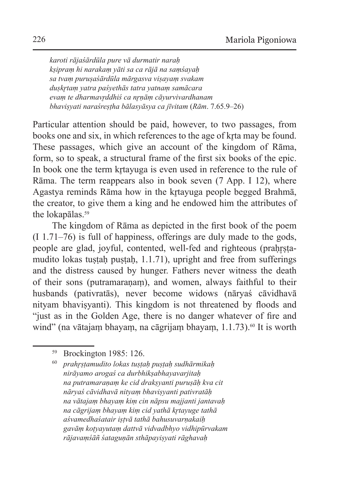*karoti rājaśārdūla pure vā durmatir naraḥ kṣipraṃ hi narakaṃ yāti sa ca rājā na saṃśayaḥ sa tvaṃ puruṣaśārdūla mārgasva viṣayaṃ svakam duṣkr̥taṃ yatra paśyethās tatra yatnaṃ samācara evaṃ te dharmavr̥ddhiś ca nr̥ṇāṃ cāyurvivardhanam bhaviṣyati naraśreṣṭha bālasyāsya ca jīvitam* (*Rām*. 7.65.9–26)

Particular attention should be paid, however, to two passages, from books one and six, in which references to the age of krta may be found. These passages, which give an account of the kingdom of Rāma, form, so to speak, a structural frame of the first six books of the epic. In book one the term krtayuga is even used in reference to the rule of Rāma. The term reappears also in book seven (7 App. I 12), where Agastya reminds Rāma how in the krtayuga people begged Brahmā, the creator, to give them a king and he endowed him the attributes of the lokapālas.<sup>59</sup>

The kingdom of Rāma as depicted in the first book of the poem (I 1.71–76) is full of happiness, offerings are duly made to the gods, people are glad, joyful, contented, well-fed and righteous (prahrstamudito lokas tustah pustah,  $1.1.71$ ), upright and free from sufferings and the distress caused by hunger. Fathers never witness the death of their sons (putramaraṇaṃ), and women, always faithful to their husbands (pativratās), never become widows (nāryaś cāvidhavā nityam bhaviṣyanti). This kingdom is not threatened by floods and "just as in the Golden Age, there is no danger whatever of fire and wind" (na vātajam bhayam, na cāgrijam bhayam, 1.1.73).<sup>60</sup> It is worth

<sup>59</sup> Brockington 1985: 126.

<sup>60</sup> *prahr̥ṣṭamudito lokas tuṣṭaḥ puṣṭaḥ sudhārmikaḥ nirāyamo arogaś ca durbhikṣabhayavarjitaḥ na putramaraṇaṃ ke cid drakṣyanti puruṣāḥ kva cit nāryaś cāvidhavā nityaṃ bhaviṣyanti pativratāḥ na vātajaṃ bhayaṃ kiṃ cin nāpsu majjanti jantavaḥ na cāgrijaṃ bhayaṃ kiṃ cid yathā kr̥tayuge tathā aśvamedhaśatair iṣṭvā tathā bahusuvarṇakaiḥ gavāṃ koṭyayutaṃ dattvā vidvadbhyo vidhipūrvakam rājavaṃśāñ śataguṇān sthāpayiṣyati rāghavaḥ*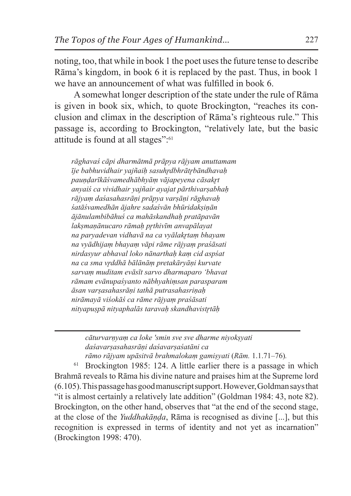noting, too, that while in book 1 the poet uses the future tense to describe Rāma's kingdom, in book 6 it is replaced by the past. Thus, in book 1 we have an announcement of what was fulfilled in book 6.

A somewhat longer description of the state under the rule of Rāma is given in book six, which, to quote Brockington, "reaches its conclusion and climax in the description of Rāma's righteous rule." This passage is, according to Brockington, "relatively late, but the basic attitude is found at all stages":<sup>61</sup>

*rāghavaś cāpi dharmātmā prāpya rājyam anuttamam īje babhuvidhair yajñaiḥ sasuhr̥dbhrātr̥bāndhavaḥ pauṇḍarīkāśvamedhābhyāṃ vājapeyena cāsakr̥t anyaiś ca vividhair yajñair ayajat pārthivarṣabhaḥ rājyaṃ daśasahasrāṇi prāpya varṣāṇi rāghavaḥ śatāśvamedhān ājahre sadaśvān bhūridakṣiṇān ājānulambibāhuś ca mahāskandhaḥ pratāpavān lakṣmaṇānucaro rāmaḥ pr̥thivīm anvapālayat na paryadevan vidhavā na ca vyālakr̥taṃ bhayam na vyādhijaṃ bhayaṃ vāpi rāme rājyaṃ praśāsati nirdasyur abhaval loko nānarthaḥ kaṃ cid aspśat na ca sma vr̥ddhā bālānāṃ pretakāryāṇi kurvate sarvaṃ muditam evāsīt sarvo dharmaparo 'bhavat rāmam evānupaśyanto nābhyahiṃsan parasparam āsan varṣasahasrāṇi tathā putrasahasriṇaḥ nirāmayā viśokāś ca rāme rājyaṃ praśāsati nityapuṣpā nityaphalās taravaḥ skandhavistr̥tāḥ* 

*cāturvarṇyaṃ ca loke 'smin sve sve dharme niyokṣyati daśavarṣasahasrāṇi daśavarṣaśatāni ca rāmo rājyam upāsitvā brahmalokaṃ gamiṣyati* (*Rām.* 1.1.71–76)*.*

<sup>61</sup> Brockington 1985: 124. A little earlier there is a passage in which Brahmā reveals to Rāma his divine nature and praises him at the Supreme lord (6.105). This passage has good manuscript support. However,Goldman says that "it is almost certainly a relatively late addition" (Goldman 1984: 43, note 82). Brockington, on the other hand, observes that "at the end of the second stage, at the close of the *Yuddhakāṇḍa*, Rāma is recognised as divine [...], but this recognition is expressed in terms of identity and not yet as incarnation" (Brockington 1998: 470).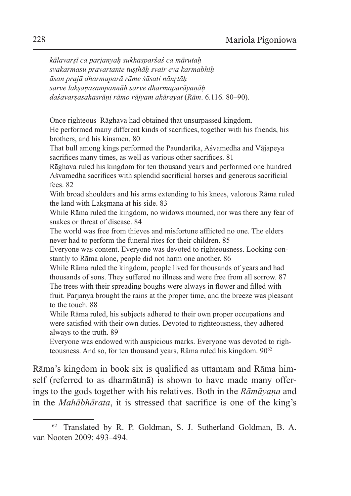*kālavarṣī ca parjanyaḥ sukhasparśaś ca mārutaḥ svakarmasu pravartante tuṣṭhāḥ svair eva karmabhiḥ āsan prajā dharmaparā rāme śāsati nānr̥tāḥ sarve lakṣaṇasaṃpannāḥ sarve dharmaparāyaṇāḥ daśavarṣasahasrāṇi rāmo rājyam akārayat* (*Rām*. 6.116. 80–90).

Once righteous Rāghava had obtained that unsurpassed kingdom.

He performed many different kinds of sacrifices, together with his friends, his brothers, and his kinsmen. 80

That bull among kings performed the Paundarīka, Aśvamedha and Vājapeya sacrifices many times, as well as various other sacrifices. 81

Rāghava ruled his kingdom for ten thousand years and performed one hundred Aśvamedha sacrifices with splendid sacrificial horses and generous sacrificial fees. 82

With broad shoulders and his arms extending to his knees, valorous Rāma ruled the land with Laksmana at his side. 83

While Rāma ruled the kingdom, no widows mourned, nor was there any fear of snakes or threat of disease. 84

The world was free from thieves and misfortune afflicted no one. The elders never had to perform the funeral rites for their children. 85

Everyone was content. Everyone was devoted to righteousness. Looking constantly to Rāma alone, people did not harm one another. 86

While Rāma ruled the kingdom, people lived for thousands of years and had thousands of sons. They suffered no illness and were free from all sorrow. 87 The trees with their spreading boughs were always in flower and filled with fruit. Parjanya brought the rains at the proper time, and the breeze was pleasant to the touch. 88

While Rāma ruled, his subjects adhered to their own proper occupations and were satisfied with their own duties. Devoted to righteousness, they adhered always to the truth. 89

Everyone was endowed with auspicious marks. Everyone was devoted to righteousness. And so, for ten thousand years, Rāma ruled his kingdom. 90<sup>62</sup>

Rāma's kingdom in book six is qualified as uttamam and Rāma himself (referred to as dharmātmā) is shown to have made many offerings to the gods together with his relatives. Both in the *Rāmāyaṇa* and in the *Mahābhārata*, it is stressed that sacrifice is one of the king's

<sup>62</sup> Translated by R. P. Goldman, S. J. Sutherland Goldman, B. A. van Nooten 2009: 493–494.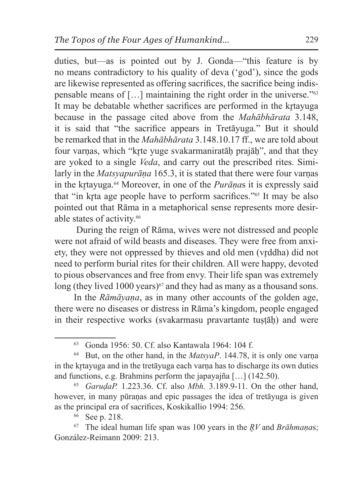duties, but—as is pointed out by J. Gonda—"this feature is by no means contradictory to his quality of deva ('god'), since the gods are likewise represented as offering sacrifices, the sacrifice being indispensable means of […] maintaining the right order in the universe."<sup>63</sup> It may be debatable whether sacrifices are performed in the krtayuga because in the passage cited above from the *Mahābhārata* 3.148, it is said that "the sacrifice appears in Tretāyuga." But it should be remarked that in the *Mahābhārata* 3.148.10.17 ff., we are told about four varnas, which "krte yuge svakarmaniratāḥ prajāḥ", and that they are yoked to a single *Veda*, and carry out the prescribed rites. Similarly in the *Matsyapurāna* 165.3, it is stated that there were four varnas in the kr̥tayuga.64 Moreover, in one of the *Purāṇa*s it is expressly said that "in krta age people have to perform sacrifices."<sup>65</sup> It may be also pointed out that Rāma in a metaphorical sense represents more desirable states of activity.<sup>66</sup>

During the reign of Rāma, wives were not distressed and people were not afraid of wild beasts and diseases. They were free from anxiety, they were not oppressed by thieves and old men (vr̥ddha) did not need to perform burial rites for their children. All were happy, devoted to pious observances and free from envy. Their life span was extremely long (they lived 1000 years) $67$  and they had as many as a thousand sons.

In the *Rāmāyaṇa*, as in many other accounts of the golden age, there were no diseases or distress in Rāma's kingdom, people engaged in their respective works (svakarmasu pravartante tuṣṭāḥ) and were

<sup>65</sup> *GaruḍaP.* 1.223.36. Cf. also *Mbh.* 3.189.9-11. On the other hand, however, in many pūranas and epic passages the idea of tretāyuga is given as the principal era of sacrifices, Koskikallio 1994: 256.

<sup>66</sup> See p. 218.

<sup>67</sup> The ideal human life span was 100 years in the *R̥V* and *Brāhmaṇa*s; González-Reimann 2009: 213.

<sup>63</sup> Gonda 1956: 50. Cf. also Kantawala 1964: 104 f.

<sup>64</sup> But, on the other hand, in the *MatsyaP*. 144.78, it is only one varṇa in the krtayuga and in the tretāyuga each varna has to discharge its own duties and functions, e.g. Brahmins perform the japayajña […] (142.50).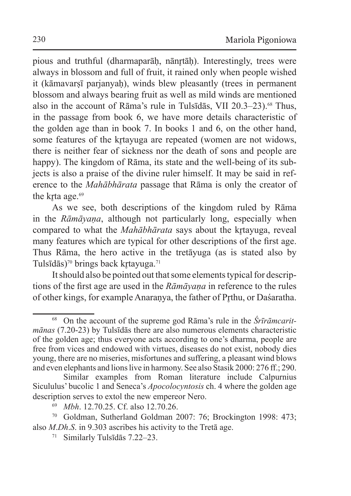pious and truthful (dharmaparāh, nānrtāh). Interestingly, trees were always in blossom and full of fruit, it rained only when people wished it (kāmavarsī parjanyah), winds blew pleasantly (trees in permanent blossom and always bearing fruit as well as mild winds are mentioned also in the account of Rāma's rule in Tulsīdās, VII 20.3–23).<sup>68</sup> Thus, in the passage from book 6, we have more details characteristic of the golden age than in book 7. In books 1 and 6, on the other hand, some features of the krtayuga are repeated (women are not widows, there is neither fear of sickness nor the death of sons and people are happy). The kingdom of Rāma, its state and the well-being of its subjects is also a praise of the divine ruler himself. It may be said in reference to the *Mahābhārata* passage that Rāma is only the creator of the krta age.<sup>69</sup>

As we see, both descriptions of the kingdom ruled by Rāma in the *Rāmāyaṇa*, although not particularly long, especially when compared to what the *Mahābhārata* says about the krtayuga, reveal many features which are typical for other descriptions of the first age. Thus Rāma, the hero active in the tretāyuga (as is stated also by Tulsīdās)<sup>70</sup> brings back krtayuga.<sup>71</sup>

It should also be pointed out that some elements typical for descriptions of the first age are used in the *Rāmāyaṇa* in reference to the rules of other kings, for example Anaranya, the father of Prthu, or Daśaratha.

<sup>68</sup> On the account of the supreme god Rāma's rule in the *Śrīrāmcaritmānas* (7.20-23) by Tulsīdās there are also numerous elements characteristic of the golden age; thus everyone acts according to one's dharma, people are free from vices and endowed with virtues, diseases do not exist, nobody dies young, there are no miseries, misfortunes and suffering, a pleasant wind blows and even elephants and lions live in harmony. See also Stasik 2000: 276 ff.; 290.

Similar examples from Roman literature include Calpurnius Sicululus' bucolic 1 and Seneca's *Apocolocyntosis* ch. 4 where the golden age description serves to extol the new empereor Nero.

<sup>69</sup> *Mbh*. 12.70.25. Cf. also 12.70.26.

<sup>70</sup> Goldman, Sutherland Goldman 2007: 76; Brockington 1998: 473; also *M*.*Dh*.*S*. in 9.303 ascribes his activity to the Tretā age.

<sup>71</sup> Similarly Tulsīdās 7.22–23.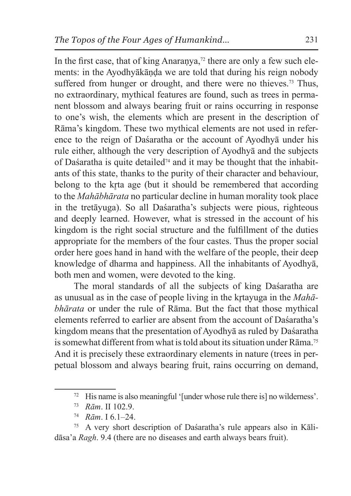In the first case, that of king Anaranya,<sup> $72$ </sup> there are only a few such elements: in the Ayodhyākāṇḍa we are told that during his reign nobody suffered from hunger or drought, and there were no thieves.<sup>73</sup> Thus, no extraordinary, mythical features are found, such as trees in permanent blossom and always bearing fruit or rains occurring in response to one's wish, the elements which are present in the description of Rāma's kingdom. These two mythical elements are not used in reference to the reign of Daśaratha or the account of Ayodhyā under his rule either, although the very description of Ayodhyā and the subjects of Daśaratha is quite detailed74 and it may be thought that the inhabitants of this state, thanks to the purity of their character and behaviour, belong to the krta age (but it should be remembered that according to the *Mahābhārata* no particular decline in human morality took place in the tretāyuga). So all Daśaratha's subjects were pious, righteous and deeply learned. However, what is stressed in the account of his kingdom is the right social structure and the fulfillment of the duties appropriate for the members of the four castes. Thus the proper social order here goes hand in hand with the welfare of the people, their deep knowledge of dharma and happiness. All the inhabitants of Ayodhyā, both men and women, were devoted to the king.

The moral standards of all the subjects of king Daśaratha are as unusual as in the case of people living in the krtayuga in the *Mahābhārata* or under the rule of Rāma. But the fact that those mythical elements referred to earlier are absent from the account of Daśaratha's kingdom means that the presentation of Ayodhyā as ruled by Daśaratha is somewhat different from what is told about its situation under  $R\bar{a}$  ma <sup>75</sup> And it is precisely these extraordinary elements in nature (trees in perpetual blossom and always bearing fruit, rains occurring on demand,

<sup>75</sup> A very short description of Daśaratha's rule appears also in Kālidāsa'a *Ragh*. 9.4 (there are no diseases and earth always bears fruit).

<sup>72</sup> His name is also meaningful '[under whose rule there is] no wilderness'.

<sup>73</sup> *Rām*. II 102.9.

<sup>74</sup> *Rām*. I 6.1–24.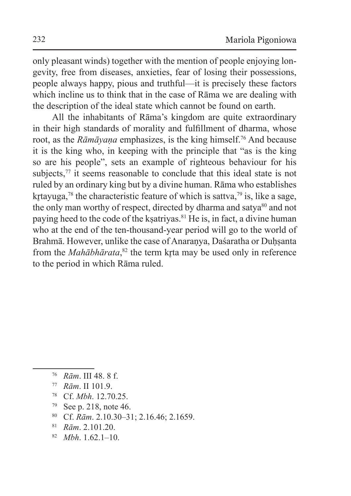only pleasant winds) together with the mention of people enjoying longevity, free from diseases, anxieties, fear of losing their possessions, people always happy, pious and truthful—it is precisely these factors which incline us to think that in the case of Rāma we are dealing with the description of the ideal state which cannot be found on earth.

All the inhabitants of Rāma's kingdom are quite extraordinary in their high standards of morality and fulfillment of dharma, whose root, as the *Rāmāyaṇa* emphasizes, is the king himself.76 And because it is the king who, in keeping with the principle that "as is the king so are his people", sets an example of righteous behaviour for his subjects, $77$  it seems reasonable to conclude that this ideal state is not ruled by an ordinary king but by a divine human. Rāma who establishes krtayuga,<sup>78</sup> the characteristic feature of which is sattva,<sup>79</sup> is, like a sage, the only man worthy of respect, directed by dharma and satya<sup>80</sup> and not paying heed to the code of the kṣatriyas.<sup>81</sup> He is, in fact, a divine human who at the end of the ten-thousand-year period will go to the world of Brahmā. However, unlike the case of Anaranya, Daśaratha or Duhsanta from the *Mahābhārata*, <sup>82</sup> the term kr̥ta may be used only in reference to the period in which Rāma ruled.

- <sup>77</sup> *Rām*. II 101.9.
- <sup>78</sup> Cf. *Mbh*. 12.70.25.
- <sup>79</sup> See p. 218, note 46.
- <sup>80</sup> Cf. *Rām*. 2.10.30–31; 2.16.46; 2.1659.
- <sup>81</sup> *Rām*. 2.101.20.
- <sup>82</sup> *Mbh*. 1.62.1–10.

<sup>76</sup> *Rām*. III 48. 8 f.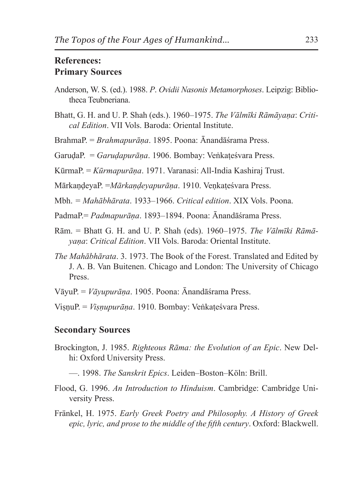## **References: Primary Sources**

- Anderson, W. S. (ed.). 1988. *P*. *Ovidii Nasonis Metamorphoses*. Leipzig: Bibliotheca Teubneriana.
- Bhatt, G. H. and U. P. Shah (eds.). 1960–1975. *The Vālmīki Rāmāyaṇa*: *Critical Edition*. VII Vols. Baroda: Oriental Institute.
- BrahmaP. = *Brahmapurāṇa*. 1895. Poona: Ānandāśrama Press.
- GaruḍaP. = *Garuḍapurāṇa*. 1906. Bombay: Veṅkaṭeśvara Press.
- KūrmaP. = *Kūrmapurāṇa*. 1971. Varanasi: All-India Kashiraj Trust.
- MārkaṇḍeyaP. =*Mārkaṇḍeyapurāṇa*. 1910. Veṇkaṭeśvara Press.
- Mbh. *= Mahābhārata*. 1933–1966. *Critical edition*. XIX Vols. Poona.
- PadmaP.= *Padmapurāṇa*. 1893–1894. Poona: Ānandāśrama Press.
- Rām. = Bhatt G. H. and U. P. Shah (eds). 1960–1975. *The Vālmīki Rāmāyaṇa*: *Critical Edition*. VII Vols. Baroda: Oriental Institute.
- *The Mahābhārata*. 3. 1973. The Book of the Forest. Translated and Edited by J. A. B. Van Buitenen. Chicago and London: The University of Chicago Press.
- VāyuP. = *Vāyupurāṇa*. 1905. Poona: Ānandāśrama Press.
- ViṣṇuP. = *Viṣṇupurāṇa*. 1910. Bombay: Veṅkaṭeśvara Press.

## **Secondary Sources**

- Brockington, J. 1985. *Righteous Rāma: the Evolution of an Epic*. New Delhi: Oxford University Press.
	- —. 1998. *The Sanskrit Epics*. Leiden–Boston–Köln: Brill.
- Flood, G. 1996. *An Introduction to Hinduism*. Cambridge: Cambridge University Press.
- Fränkel, H. 1975. *Early Greek Poetry and Philosophy. A History of Greek epic, lyric, and prose to the middle of the fifth century*. Oxford: Blackwell.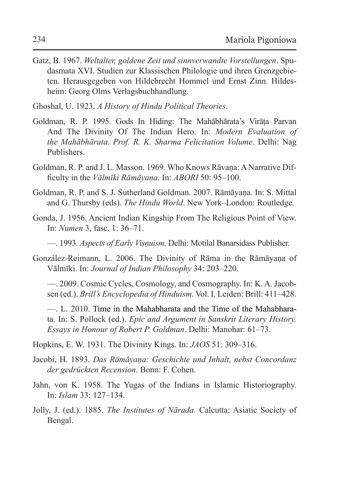- Gatz, B. 1967. *Weltalter, goldene Zeit und sinnverwandte Vorstellungen*. Spudasmata XVI. Studien zur Klassischen Philologie und ihren Grenzgebieten. Herausgegeben von Hildebrecht Hommel und Ernst Zinn. Hildesheim: Georg Olms Verlagsbuchhandlung.
- Ghoshal, U. 1923. *A History of Hindu Political Theories*.
- Goldman, R. P. 1995. Gods In Hiding: The Mahābhārata's Virāṭa Parvan And The Divinity Of The Indian Hero. In: *Modern Evaluation of the Mahābhārata*. *Prof. R. K. Sharma Felicitation Volume*. Delhi: Nag Publishers.
- Goldman, R. P. and J. L. Masson. 1969. Who Knows Rāvaṇa: A Narrative Difficulty in the *Vālmīki Rāmāyaṇa*. In: *ABORI* 50: 95–100.
- Goldman, R. P. and S. J. Sutherland Goldman. 2007. Rāmāyaṇa. In: S. Mittal and G. Thursby (eds). *The Hindu World*. New York–London: Routledge.
- Gonda, J. 1956. Ancient Indian Kingship From The Religious Point of View. In: *Numen* 3, fasc. 1: 36–71.
	- —. 1993. *Aspects of Early Viṣṇuism*. Delhi: Motilal Banarsidass Publisher.
- González-Reimann, L. 2006. The Divinity of Rāma in the Rāmāyaṇa of Vālmīki. In: *Journal of Indian Philosophy* 34: 203–220.
	- —. 2009. Cosmic Cycles, Cosmology, and Cosmography. In: K. A. Jacobsen (ed.). *Brill's Encyclopedia of Hinduism*. Vol. I. Leiden: Brill: 411–428.
	- —. L. 2010. Time in the Mahabharata and the Time of the Mahabharata. In: S. Pollock (ed.). *Epic and Argument in Sanskrit Literary History. Essays in Honour of Robert P. Goldman*. Delhi: Manohar: 61–73.
- Hopkins, E. W. 1931. The Divinity Kings. In: *JAOS* 51: 309–316.
- Jacobi, H. 1893. *Das Rāmāyaṇa: Geschichte und Inhalt, nebst Concordanz der gedrückten Recension*. Bonn: F. Cohen.
- Jahn, von K. 1958. The Yugas of the Indians in Islamic Historiography. In: *Islam* 33: 127–134.
- Jolly, J. (ed.). 1885. *The Institutes of Nārada.* Calcutta: Asiatic Society of Bengal.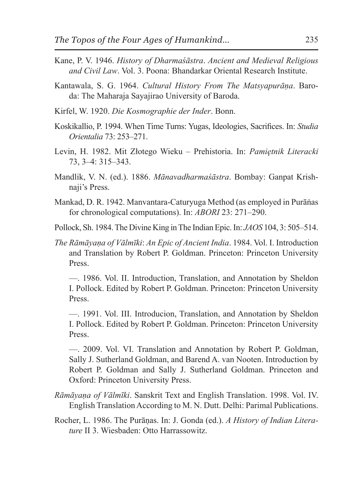- Kane, P. V. 1946. *History of Dharmaśāstra*. *Ancient and Medieval Religious and Civil Law*. Vol. 3. Poona: Bhandarkar Oriental Research Institute.
- Kantawala, S. G. 1964. *Cultural History From The Matsyapurāṇa*. Baroda: The Maharaja Sayajirao University of Baroda.
- Kirfel, W. 1920. *Die Kosmographie der Inder*. Bonn.
- Koskikallio, P. 1994. When Time Turns: Yugas, Ideologies, Sacrifices. In: *Studia Orientalia* 73: 253–271.
- Levin, H. 1982. Mit Złotego Wieku Prehistoria. In: *Pamiętnik Literacki*  73, 3–4: 315–343.
- Mandlik, V. N. (ed.). 1886. *Mānavadharmaśāstra*. Bombay: Ganpat Krishnaji's Press.
- Mankad, D. R. 1942. Manvantara-Caturyuga Method (as employed in Purāṅas for chronological computations). In: *ABORI* 23: 271–290.
- Pollock, Sh. 1984. The Divine King inThe Indian Epic. In: *JAOS* 104, 3: 505–514.
- *The Rāmāyaṇa of Vālmīki*: *An Epic of Ancient India*. 1984. Vol. I. Introduction and Translation by Robert P. Goldman. Princeton: Princeton University Press.

—. 1986. Vol. II. Introduction, Translation, and Annotation by Sheldon I. Pollock. Edited by Robert P. Goldman. Princeton: Princeton University Press.

—. 1991. Vol. III. Introducion, Translation, and Annotation by Sheldon I. Pollock. Edited by Robert P. Goldman. Princeton: Princeton University Press.

—. 2009. Vol. VI. Translation and Annotation by Robert P. Goldman, Sally J. Sutherland Goldman, and Barend A. van Nooten. Introduction by Robert P. Goldman and Sally J. Sutherland Goldman. Princeton and Oxford: Princeton University Press.

- *Rāmāyaṇa of Vālmīki*. Sanskrit Text and English Translation. 1998. Vol. IV. English Translation According to M. N. Dutt. Delhi: Parimal Publications.
- Rocher, L. 1986. The Purāṇas. In: J. Gonda (ed.). *A History of Indian Literature* II 3. Wiesbaden: Otto Harrassowitz.